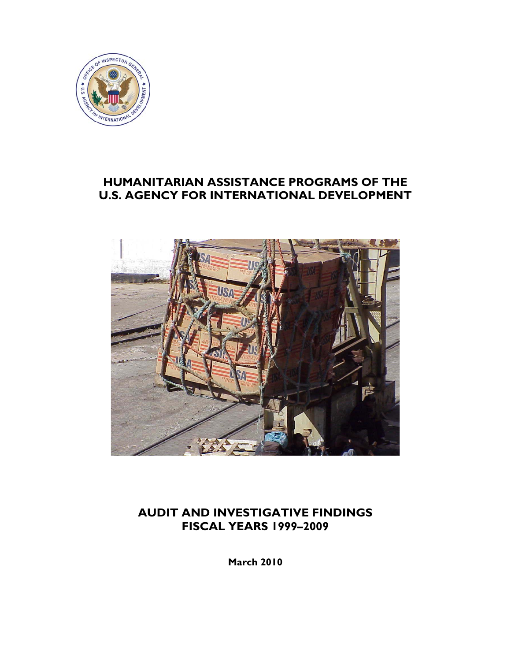

## **HUMANITARIAN ASSISTANCE PROGRAMS OF THE U.S. AGENCY FOR INTERNATIONAL DEVELOPMENT**



## **AUDIT AND INVESTIGATIVE FINDINGS FISCAL YEARS 1999–2009**

**March 2010**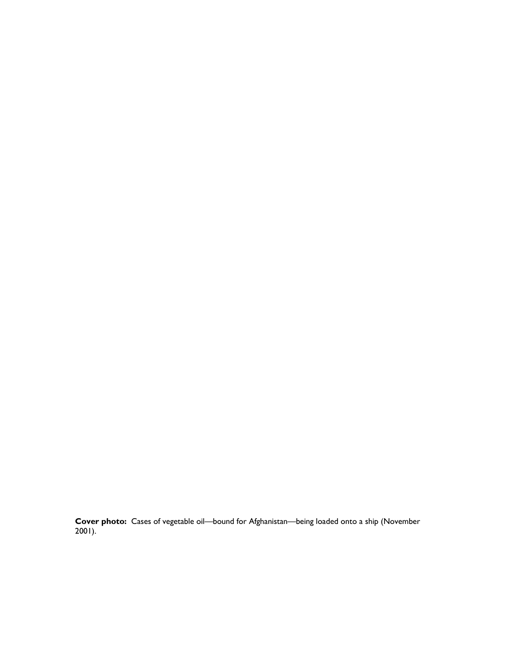**Cover photo:** Cases of vegetable oil—bound for Afghanistan—being loaded onto a ship (November 2001).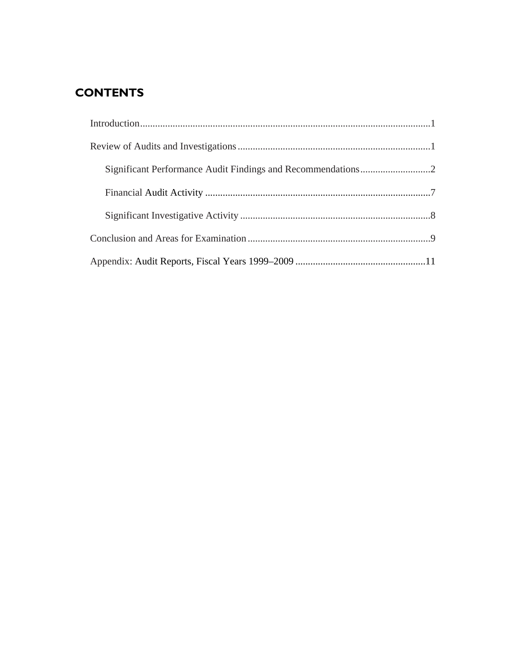# **CONTENTS**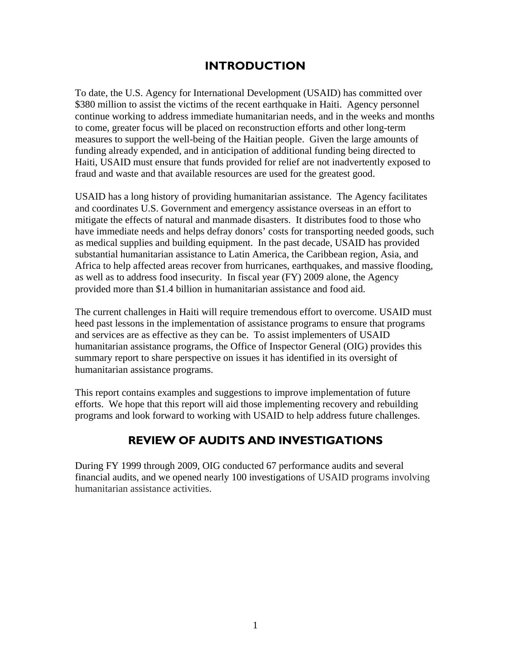## **INTRODUCTION**

To date, the U.S. Agency for International Development (USAID) has committed over \$380 million to assist the victims of the recent earthquake in Haiti. Agency personnel continue working to address immediate humanitarian needs, and in the weeks and months to come, greater focus will be placed on reconstruction efforts and other long-term measures to support the well-being of the Haitian people. Given the large amounts of funding already expended, and in anticipation of additional funding being directed to Haiti, USAID must ensure that funds provided for relief are not inadvertently exposed to fraud and waste and that available resources are used for the greatest good.

USAID has a long history of providing humanitarian assistance. The Agency facilitates and coordinates U.S. Government and emergency assistance overseas in an effort to mitigate the effects of natural and manmade disasters. It distributes food to those who have immediate needs and helps defray donors' costs for transporting needed goods, such as medical supplies and building equipment. In the past decade, USAID has provided substantial humanitarian assistance to Latin America, the Caribbean region, Asia, and Africa to help affected areas recover from hurricanes, earthquakes, and massive flooding, as well as to address food insecurity. In fiscal year (FY) 2009 alone, the Agency provided more than \$1.4 billion in humanitarian assistance and food aid.

The current challenges in Haiti will require tremendous effort to overcome. USAID must heed past lessons in the implementation of assistance programs to ensure that programs and services are as effective as they can be. To assist implementers of USAID humanitarian assistance programs, the Office of Inspector General (OIG) provides this summary report to share perspective on issues it has identified in its oversight of humanitarian assistance programs.

This report contains examples and suggestions to improve implementation of future efforts. We hope that this report will aid those implementing recovery and rebuilding programs and look forward to working with USAID to help address future challenges.

## **REVIEW OF AUDITS AND INVESTIGATIONS**

<span id="page-3-0"></span>During FY 1999 through 2009, OIG conducted 67 performance audits and several financial audits, and we opened nearly 100 investigations of USAID programs involving humanitarian assistance activities.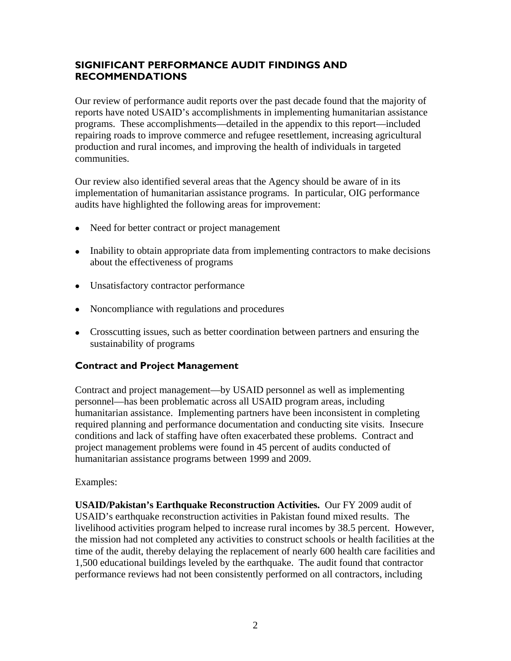## <span id="page-4-0"></span>**SIGNIFICANT PERFORMANCE AUDIT FINDINGS AND RECOMMENDATIONS**

Our review of performance audit reports over the past decade found that the majority of reports have noted USAID's accomplishments in implementing humanitarian assistance programs. These accomplishments—detailed in the appendix to this report—included repairing roads to improve commerce and refugee resettlement, increasing agricultural production and rural incomes, and improving the health of individuals in targeted communities.

Our review also identified several areas that the Agency should be aware of in its implementation of humanitarian assistance programs. In particular, OIG performance audits have highlighted the following areas for improvement:

- Need for better contract or project management
- Inability to obtain appropriate data from implementing contractors to make decisions about the effectiveness of programs
- Unsatisfactory contractor performance
- Noncompliance with regulations and procedures
- Crosscutting issues, such as better coordination between partners and ensuring the sustainability of programs

### **Contract and Project Management**

Contract and project management—by USAID personnel as well as implementing personnel—has been problematic across all USAID program areas, including humanitarian assistance. Implementing partners have been inconsistent in completing required planning and performance documentation and conducting site visits. Insecure conditions and lack of staffing have often exacerbated these problems. Contract and project management problems were found in 45 percent of audits conducted of humanitarian assistance programs between 1999 and 2009.

Examples:

**USAID/Pakistan's Earthquake Reconstruction Activities.** Our FY 2009 audit of USAID's earthquake reconstruction activities in Pakistan found mixed results. The livelihood activities program helped to increase rural incomes by 38.5 percent. However, the mission had not completed any activities to construct schools or health facilities at the time of the audit, thereby delaying the replacement of nearly 600 health care facilities and 1,500 educational buildings leveled by the earthquake. The audit found that contractor performance reviews had not been consistently performed on all contractors, including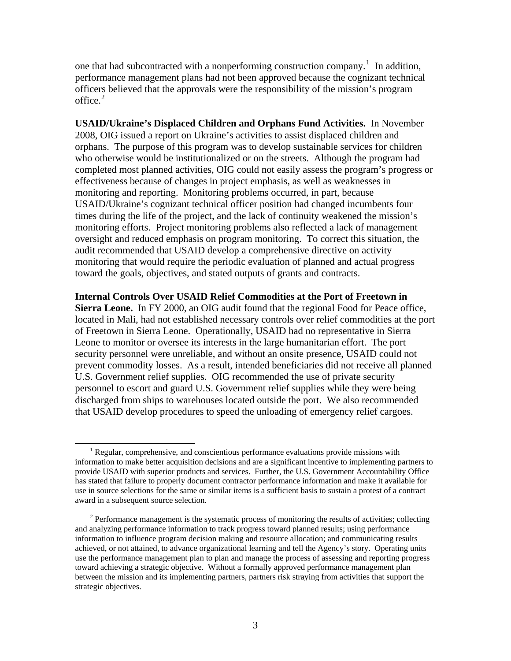one that had subcontracted with a nonperforming construction company.<sup>[1](#page-5-0)</sup> In addition, performance management plans had not been approved because the cognizant technical officers believed that the approvals were the responsibility of the mission's program office. $2$ 

**USAID/Ukraine's Displaced Children and Orphans Fund Activities.** In November 2008, OIG issued a report on Ukraine's activities to assist displaced children and orphans. The purpose of this program was to develop sustainable services for children who otherwise would be institutionalized or on the streets. Although the program had completed most planned activities, OIG could not easily assess the program's progress or effectiveness because of changes in project emphasis, as well as weaknesses in monitoring and reporting. Monitoring problems occurred, in part, because USAID/Ukraine's cognizant technical officer position had changed incumbents four times during the life of the project, and the lack of continuity weakened the mission's monitoring efforts. Project monitoring problems also reflected a lack of management oversight and reduced emphasis on program monitoring. To correct this situation, the audit recommended that USAID develop a comprehensive directive on activity monitoring that would require the periodic evaluation of planned and actual progress toward the goals, objectives, and stated outputs of grants and contracts.

**Internal Controls Over USAID Relief Commodities at the Port of Freetown in Sierra Leone.** In FY 2000, an OIG audit found that the regional Food for Peace office, located in Mali, had not established necessary controls over relief commodities at the port of Freetown in Sierra Leone. Operationally, USAID had no representative in Sierra Leone to monitor or oversee its interests in the large humanitarian effort. The port security personnel were unreliable, and without an onsite presence, USAID could not prevent commodity losses. As a result, intended beneficiaries did not receive all planned U.S. Government relief supplies. OIG recommended the use of private security personnel to escort and guard U.S. Government relief supplies while they were being discharged from ships to warehouses located outside the port. We also recommended that USAID develop procedures to speed the unloading of emergency relief cargoes.

<span id="page-5-0"></span> $\overline{\phantom{a}1}$  $<sup>1</sup>$  Regular, comprehensive, and conscientious performance evaluations provide missions with</sup> information to make better acquisition decisions and are a significant incentive to implementing partners to provide USAID with superior products and services. Further, the U.S. Government Accountability Office has stated that failure to properly document contractor performance information and make it available for use in source selections for the same or similar items is a sufficient basis to sustain a protest of a contract award in a subsequent source selection.

<span id="page-5-1"></span> $2^2$  Performance management is the systematic process of monitoring the results of activities; collecting and analyzing performance information to track progress toward planned results; using performance information to influence program decision making and resource allocation; and communicating results achieved, or not attained, to advance organizational learning and tell the Agency's story. Operating units use the performance management plan to plan and manage the process of assessing and reporting progress toward achieving a strategic objective. Without a formally approved performance management plan between the mission and its implementing partners, partners risk straying from activities that support the strategic objectives.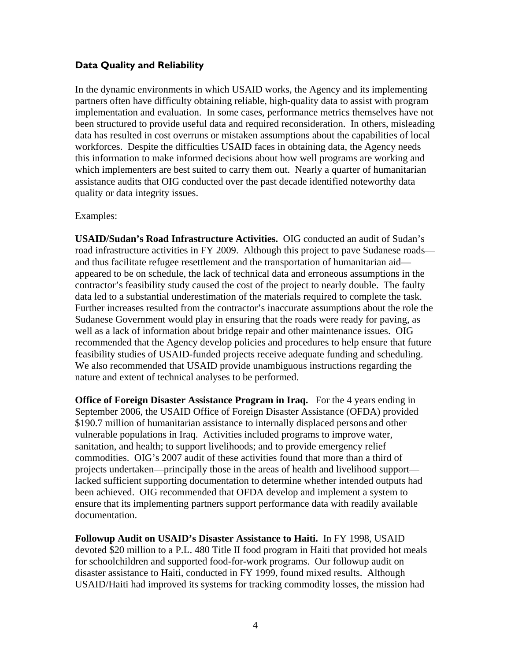## **Data Quality and Reliability**

In the dynamic environments in which USAID works, the Agency and its implementing partners often have difficulty obtaining reliable, high-quality data to assist with program implementation and evaluation. In some cases, performance metrics themselves have not been structured to provide useful data and required reconsideration. In others, misleading data has resulted in cost overruns or mistaken assumptions about the capabilities of local workforces. Despite the difficulties USAID faces in obtaining data, the Agency needs this information to make informed decisions about how well programs are working and which implementers are best suited to carry them out. Nearly a quarter of humanitarian assistance audits that OIG conducted over the past decade identified noteworthy data quality or data integrity issues.

### Examples:

**USAID/Sudan's Road Infrastructure Activities.** OIG conducted an audit of Sudan's road infrastructure activities in FY 2009. Although this project to pave Sudanese roads and thus facilitate refugee resettlement and the transportation of humanitarian aid appeared to be on schedule, the lack of technical data and erroneous assumptions in the contractor's feasibility study caused the cost of the project to nearly double. The faulty data led to a substantial underestimation of the materials required to complete the task. Further increases resulted from the contractor's inaccurate assumptions about the role the Sudanese Government would play in ensuring that the roads were ready for paving, as well as a lack of information about bridge repair and other maintenance issues. OIG recommended that the Agency develop policies and procedures to help ensure that future feasibility studies of USAID-funded projects receive adequate funding and scheduling. We also recommended that USAID provide unambiguous instructions regarding the nature and extent of technical analyses to be performed.

**Office of Foreign Disaster Assistance Program in Iraq.** For the 4 years ending in September 2006, the USAID Office of Foreign Disaster Assistance (OFDA) provided \$190.7 million of humanitarian assistance to internally displaced persons and other vulnerable populations in Iraq. Activities included programs to improve water, sanitation, and health; to support livelihoods; and to provide emergency relief commodities. OIG's 2007 audit of these activities found that more than a third of projects undertaken—principally those in the areas of health and livelihood support lacked sufficient supporting documentation to determine whether intended outputs had been achieved. OIG recommended that OFDA develop and implement a system to ensure that its implementing partners support performance data with readily available documentation.

**Followup Audit on USAID's Disaster Assistance to Haiti.** In FY 1998, USAID devoted \$20 million to a P.L. 480 Title II food program in Haiti that provided hot meals for schoolchildren and supported food-for-work programs. Our followup audit on disaster assistance to Haiti, conducted in FY 1999, found mixed results.Although USAID/Haiti had improved its systems for tracking commodity losses, the mission had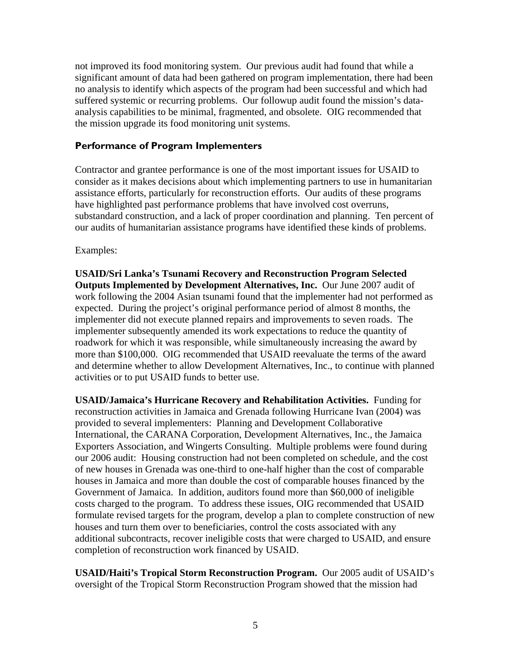not improved its food monitoring system. Our previous audit had found that while a significant amount of data had been gathered on program implementation, there had been no analysis to identify which aspects of the program had been successful and which had suffered systemic or recurring problems. Our followup audit found the mission's dataanalysis capabilities to be minimal, fragmented, and obsolete. OIG recommended that the mission upgrade its food monitoring unit systems.

#### **Performance of Program Implementers**

Contractor and grantee performance is one of the most important issues for USAID to consider as it makes decisions about which implementing partners to use in humanitarian assistance efforts, particularly for reconstruction efforts. Our audits of these programs have highlighted past performance problems that have involved cost overruns, substandard construction, and a lack of proper coordination and planning. Ten percent of our audits of humanitarian assistance programs have identified these kinds of problems.

#### Examples:

**USAID/Sri Lanka's Tsunami Recovery and Reconstruction Program Selected Outputs Implemented by Development Alternatives, Inc.** Our June 2007 audit of work following the 2004 Asian tsunami found that the implementer had not performed as expected. During the project's original performance period of almost 8 months, the implementer did not execute planned repairs and improvements to seven roads. The implementer subsequently amended its work expectations to reduce the quantity of roadwork for which it was responsible, while simultaneously increasing the award by more than \$100,000. OIG recommended that USAID reevaluate the terms of the award and determine whether to allow Development Alternatives, Inc., to continue with planned activities or to put USAID funds to better use.

**USAID/Jamaica's Hurricane Recovery and Rehabilitation Activities.** Funding for reconstruction activities in Jamaica and Grenada following Hurricane Ivan (2004) was provided to several implementers: Planning and Development Collaborative International, the CARANA Corporation, Development Alternatives, Inc., the Jamaica Exporters Association, and Wingerts Consulting. Multiple problems were found during our 2006 audit: Housing construction had not been completed on schedule, and the cost of new houses in Grenada was one-third to one-half higher than the cost of comparable houses in Jamaica and more than double the cost of comparable houses financed by the Government of Jamaica. In addition, auditors found more than \$60,000 of ineligible costs charged to the program. To address these issues, OIG recommended that USAID formulate revised targets for the program, develop a plan to complete construction of new houses and turn them over to beneficiaries, control the costs associated with any additional subcontracts, recover ineligible costs that were charged to USAID, and ensure completion of reconstruction work financed by USAID.

**USAID/Haiti's Tropical Storm Reconstruction Program.** Our 2005 audit of USAID's oversight of the Tropical Storm Reconstruction Program showed that the mission had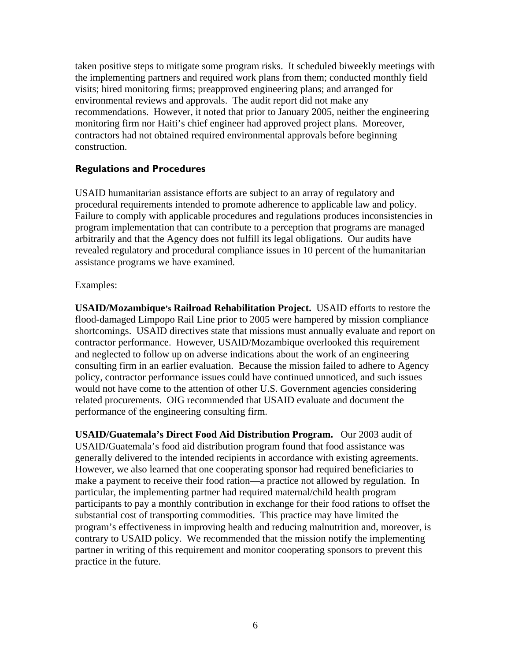taken positive steps to mitigate some program risks. It scheduled biweekly meetings with the implementing partners and required work plans from them; conducted monthly field visits; hired monitoring firms; preapproved engineering plans; and arranged for environmental reviews and approvals. The audit report did not make any recommendations. However, it noted that prior to January 2005, neither the engineering monitoring firm nor Haiti's chief engineer had approved project plans. Moreover, contractors had not obtained required environmental approvals before beginning construction.

### **Regulations and Procedures**

USAID humanitarian assistance efforts are subject to an array of regulatory and procedural requirements intended to promote adherence to applicable law and policy. Failure to comply with applicable procedures and regulations produces inconsistencies in program implementation that can contribute to a perception that programs are managed arbitrarily and that the Agency does not fulfill its legal obligations. Our audits have revealed regulatory and procedural compliance issues in 10 percent of the humanitarian assistance programs we have examined.

### Examples:

**USAID/Mozambique's Railroad Rehabilitation Project.** USAID efforts to restore the flood-damaged Limpopo Rail Line prior to 2005 were hampered by mission compliance shortcomings. USAID directives state that missions must annually evaluate and report on contractor performance. However, USAID/Mozambique overlooked this requirement and neglected to follow up on adverse indications about the work of an engineering consulting firm in an earlier evaluation. Because the mission failed to adhere to Agency policy, contractor performance issues could have continued unnoticed, and such issues would not have come to the attention of other U.S. Government agencies considering related procurements. OIG recommended that USAID evaluate and document the performance of the engineering consulting firm.

**USAID/Guatemala's Direct Food Aid Distribution Program.** Our 2003 audit of USAID/Guatemala's food aid distribution program found that food assistance was generally delivered to the intended recipients in accordance with existing agreements. However, we also learned that one cooperating sponsor had required beneficiaries to make a payment to receive their food ration—a practice not allowed by regulation. In particular, the implementing partner had required maternal/child health program participants to pay a monthly contribution in exchange for their food rations to offset the substantial cost of transporting commodities. This practice may have limited the program's effectiveness in improving health and reducing malnutrition and, moreover, is contrary to USAID policy. We recommended that the mission notify the implementing partner in writing of this requirement and monitor cooperating sponsors to prevent this practice in the future.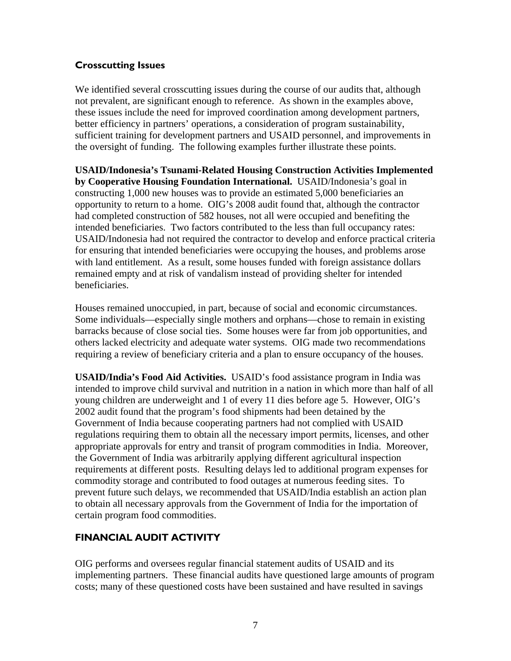## **Crosscutting Issues**

We identified several crosscutting issues during the course of our audits that, although not prevalent, are significant enough to reference. As shown in the examples above, these issues include the need for improved coordination among development partners, better efficiency in partners' operations, a consideration of program sustainability, sufficient training for development partners and USAID personnel, and improvements in the oversight of funding. The following examples further illustrate these points.

**USAID/Indonesia's Tsunami-Related Housing Construction Activities Implemented by Cooperative Housing Foundation International.** USAID/Indonesia's goal in constructing 1,000 new houses was to provide an estimated 5,000 beneficiaries an opportunity to return to a home. OIG's 2008 audit found that, although the contractor had completed construction of 582 houses, not all were occupied and benefiting the intended beneficiaries. Two factors contributed to the less than full occupancy rates: USAID/Indonesia had not required the contractor to develop and enforce practical criteria for ensuring that intended beneficiaries were occupying the houses, and problems arose with land entitlement. As a result, some houses funded with foreign assistance dollars remained empty and at risk of vandalism instead of providing shelter for intended beneficiaries.

Houses remained unoccupied, in part, because of social and economic circumstances. Some individuals—especially single mothers and orphans—chose to remain in existing barracks because of close social ties. Some houses were far from job opportunities, and others lacked electricity and adequate water systems. OIG made two recommendations requiring a review of beneficiary criteria and a plan to ensure occupancy of the houses.

**USAID/India's Food Aid Activities.** USAID's food assistance program in India was intended to improve child survival and nutrition in a nation in which more than half of all young children are underweight and 1 of every 11 dies before age 5. However, OIG's 2002 audit found that the program's food shipments had been detained by the Government of India because cooperating partners had not complied with USAID regulations requiring them to obtain all the necessary import permits, licenses, and other appropriate approvals for entry and transit of program commodities in India. Moreover, the Government of India was arbitrarily applying different agricultural inspection requirements at different posts. Resulting delays led to additional program expenses for commodity storage and contributed to food outages at numerous feeding sites. To prevent future such delays, we recommended that USAID/India establish an action plan to obtain all necessary approvals from the Government of India for the importation of certain program food commodities.

## <span id="page-9-0"></span>**FINANCIAL AUDIT ACTIVITY**

OIG performs and oversees regular financial statement audits of USAID and its implementing partners. These financial audits have questioned large amounts of program costs; many of these questioned costs have been sustained and have resulted in savings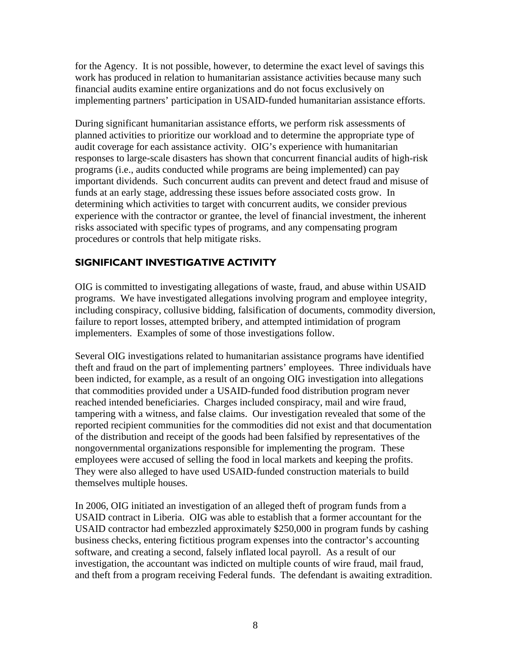for the Agency. It is not possible, however, to determine the exact level of savings this work has produced in relation to humanitarian assistance activities because many such financial audits examine entire organizations and do not focus exclusively on implementing partners' participation in USAID-funded humanitarian assistance efforts.

During significant humanitarian assistance efforts, we perform risk assessments of planned activities to prioritize our workload and to determine the appropriate type of audit coverage for each assistance activity. OIG's experience with humanitarian responses to large-scale disasters has shown that concurrent financial audits of high-risk programs (i.e., audits conducted while programs are being implemented) can pay important dividends. Such concurrent audits can prevent and detect fraud and misuse of funds at an early stage, addressing these issues before associated costs grow. In determining which activities to target with concurrent audits, we consider previous experience with the contractor or grantee, the level of financial investment, the inherent risks associated with specific types of programs, and any compensating program procedures or controls that help mitigate risks.

## <span id="page-10-0"></span>**SIGNIFICANT INVESTIGATIVE ACTIVITY**

OIG is committed to investigating allegations of waste, fraud, and abuse within USAID programs. We have investigated allegations involving program and employee integrity, including conspiracy, collusive bidding, falsification of documents, commodity diversion, failure to report losses, attempted bribery, and attempted intimidation of program implementers. Examples of some of those investigations follow.

Several OIG investigations related to humanitarian assistance programs have identified theft and fraud on the part of implementing partners' employees. Three individuals have been indicted, for example, as a result of an ongoing OIG investigation into allegations that commodities provided under a USAID-funded food distribution program never reached intended beneficiaries. Charges included conspiracy, mail and wire fraud, tampering with a witness, and false claims. Our investigation revealed that some of the reported recipient communities for the commodities did not exist and that documentation of the distribution and receipt of the goods had been falsified by representatives of the nongovernmental organizations responsible for implementing the program. These employees were accused of selling the food in local markets and keeping the profits. They were also alleged to have used USAID-funded construction materials to build themselves multiple houses.

In 2006, OIG initiated an investigation of an alleged theft of program funds from a USAID contract in Liberia. OIG was able to establish that a former accountant for the USAID contractor had embezzled approximately \$250,000 in program funds by cashing business checks, entering fictitious program expenses into the contractor's accounting software, and creating a second, falsely inflated local payroll. As a result of our investigation, the accountant was indicted on multiple counts of wire fraud, mail fraud, and theft from a program receiving Federal funds. The defendant is awaiting extradition.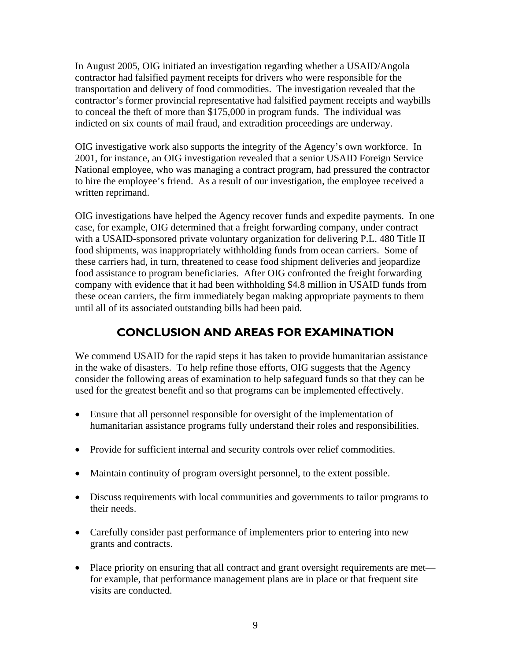In August 2005, OIG initiated an investigation regarding whether a USAID/Angola contractor had falsified payment receipts for drivers who were responsible for the transportation and delivery of food commodities. The investigation revealed that the contractor's former provincial representative had falsified payment receipts and waybills to conceal the theft of more than \$175,000 in program funds. The individual was indicted on six counts of mail fraud, and extradition proceedings are underway.

OIG investigative work also supports the integrity of the Agency's own workforce. In 2001, for instance, an OIG investigation revealed that a senior USAID Foreign Service National employee, who was managing a contract program, had pressured the contractor to hire the employee's friend. As a result of our investigation, the employee received a written reprimand.

OIG investigations have helped the Agency recover funds and expedite payments. In one case, for example, OIG determined that a freight forwarding company, under contract with a USAID-sponsored private voluntary organization for delivering P.L. 480 Title II food shipments, was inappropriately withholding funds from ocean carriers. Some of these carriers had, in turn, threatened to cease food shipment deliveries and jeopardize food assistance to program beneficiaries. After OIG confronted the freight forwarding company with evidence that it had been withholding \$4.8 million in USAID funds from these ocean carriers, the firm immediately began making appropriate payments to them until all of its associated outstanding bills had been paid.

## **CONCLUSION AND AREAS FOR EXAMINATION**

<span id="page-11-0"></span>We commend USAID for the rapid steps it has taken to provide humanitarian assistance in the wake of disasters. To help refine those efforts, OIG suggests that the Agency consider the following areas of examination to help safeguard funds so that they can be used for the greatest benefit and so that programs can be implemented effectively.

- Ensure that all personnel responsible for oversight of the implementation of humanitarian assistance programs fully understand their roles and responsibilities.
- Provide for sufficient internal and security controls over relief commodities.
- Maintain continuity of program oversight personnel, to the extent possible.
- Discuss requirements with local communities and governments to tailor programs to their needs.
- Carefully consider past performance of implementers prior to entering into new grants and contracts.
- Place priority on ensuring that all contract and grant oversight requirements are met for example, that performance management plans are in place or that frequent site visits are conducted.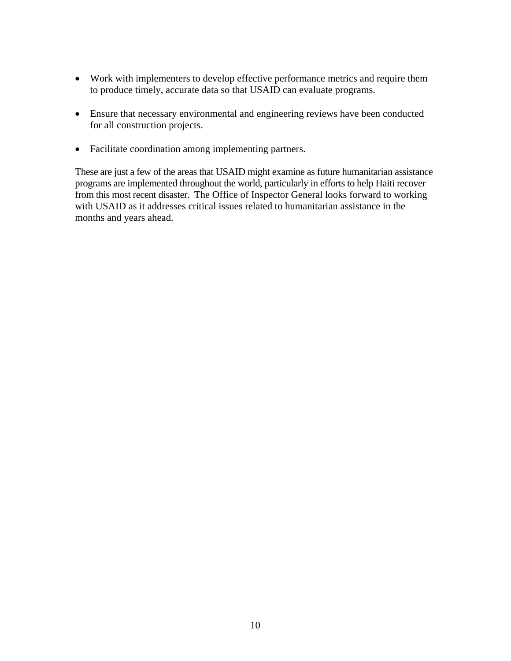- Work with implementers to develop effective performance metrics and require them to produce timely, accurate data so that USAID can evaluate programs.
- Ensure that necessary environmental and engineering reviews have been conducted for all construction projects.
- Facilitate coordination among implementing partners.

These are just a few of the areas that USAID might examine as future humanitarian assistance programs are implemented throughout the world, particularly in efforts to help Haiti recover from this most recent disaster. The Office of Inspector General looks forward to working with USAID as it addresses critical issues related to humanitarian assistance in the months and years ahead.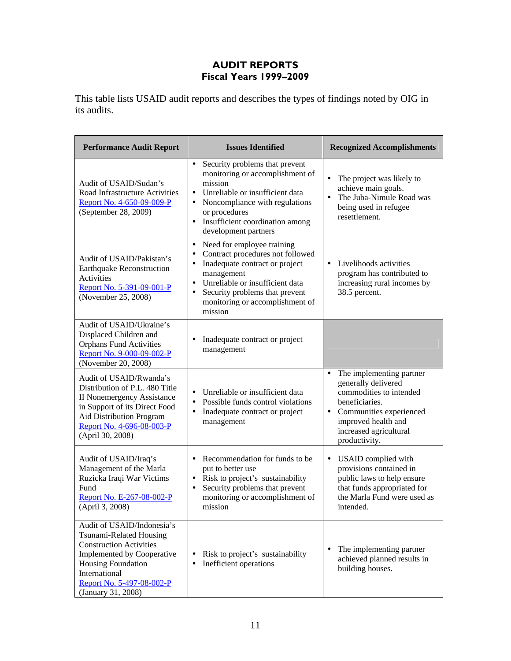## **AUDIT REPORTS Fiscal Years 1999–2009**

This table lists USAID audit reports and describes the types of findings noted by OIG in its audits.

<span id="page-13-0"></span>

| <b>Performance Audit Report</b>                                                                                                                                                                                 | <b>Issues Identified</b>                                                                                                                                                                                                                                                              | <b>Recognized Accomplishments</b>                                                                                                                                                                                   |
|-----------------------------------------------------------------------------------------------------------------------------------------------------------------------------------------------------------------|---------------------------------------------------------------------------------------------------------------------------------------------------------------------------------------------------------------------------------------------------------------------------------------|---------------------------------------------------------------------------------------------------------------------------------------------------------------------------------------------------------------------|
| Audit of USAID/Sudan's<br>Road Infrastructure Activities<br>Report No. 4-650-09-009-P<br>(September 28, 2009)                                                                                                   | Security problems that prevent<br>$\bullet$<br>monitoring or accomplishment of<br>mission<br>Unreliable or insufficient data<br>$\bullet$<br>Noncompliance with regulations<br>or procedures<br>• Insufficient coordination among<br>development partners                             | $\bullet$<br>The project was likely to<br>achieve main goals.<br>$\bullet$<br>The Juba-Nimule Road was<br>being used in refugee<br>resettlement.                                                                    |
| Audit of USAID/Pakistan's<br><b>Earthquake Reconstruction</b><br><b>Activities</b><br>Report No. 5-391-09-001-P<br>(November 25, 2008)                                                                          | Need for employee training<br>$\bullet$<br>Contract procedures not followed<br>Inadequate contract or project<br>$\bullet$<br>management<br>Unreliable or insufficient data<br>$\bullet$<br>Security problems that prevent<br>$\bullet$<br>monitoring or accomplishment of<br>mission | Livelihoods activities<br>$\bullet$<br>program has contributed to<br>increasing rural incomes by<br>38.5 percent.                                                                                                   |
| Audit of USAID/Ukraine's<br>Displaced Children and<br><b>Orphans Fund Activities</b><br>Report No. 9-000-09-002-P<br>(November 20, 2008)                                                                        | Inadequate contract or project<br>management                                                                                                                                                                                                                                          |                                                                                                                                                                                                                     |
| Audit of USAID/Rwanda's<br>Distribution of P.L. 480 Title<br><b>II Nonemergency Assistance</b><br>in Support of its Direct Food<br>Aid Distribution Program<br>Report No. 4-696-08-003-P<br>(April 30, 2008)    | • Unreliable or insufficient data<br>Possible funds control violations<br>$\bullet$<br>Inadequate contract or project<br>$\bullet$<br>management                                                                                                                                      | $\bullet$<br>The implementing partner<br>generally delivered<br>commodities to intended<br>beneficiaries.<br>Communities experienced<br>$\bullet$<br>improved health and<br>increased agricultural<br>productivity. |
| Audit of USAID/Iraq's<br>Management of the Marla<br>Ruzicka Iraqi War Victims<br>Fund<br>Report No. E-267-08-002-P<br>(April 3, 2008)                                                                           | Recommendation for funds to be<br>$\bullet$<br>put to better use<br>• Risk to project's sustainability<br>Security problems that prevent<br>$\bullet$<br>monitoring or accomplishment of<br>mission                                                                                   | USAID complied with<br>$\bullet$<br>provisions contained in<br>public laws to help ensure<br>that funds appropriated for<br>the Marla Fund were used as<br>intended.                                                |
| Audit of USAID/Indonesia's<br>Tsunami-Related Housing<br><b>Construction Activities</b><br>Implemented by Cooperative<br>Housing Foundation<br>International<br>Report No. 5-497-08-002-P<br>(January 31, 2008) | Risk to project's sustainability<br>٠<br>Inefficient operations                                                                                                                                                                                                                       | The implementing partner<br>٠<br>achieved planned results in<br>building houses.                                                                                                                                    |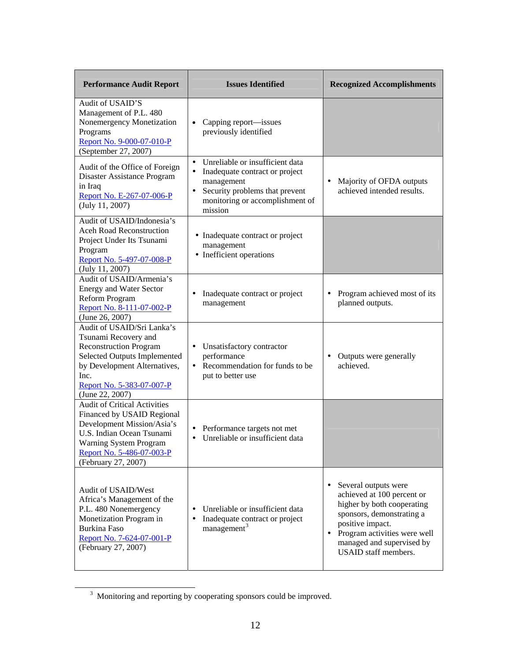| <b>Performance Audit Report</b>                                                                                                                                                                                   | <b>Issues Identified</b>                                                                                                                                                                               | <b>Recognized Accomplishments</b>                                                                                                                                                                                                   |
|-------------------------------------------------------------------------------------------------------------------------------------------------------------------------------------------------------------------|--------------------------------------------------------------------------------------------------------------------------------------------------------------------------------------------------------|-------------------------------------------------------------------------------------------------------------------------------------------------------------------------------------------------------------------------------------|
| Audit of USAID'S<br>Management of P.L. 480<br>Nonemergency Monetization<br>Programs<br>Report No. 9-000-07-010-P<br>(September 27, 2007)                                                                          | Capping report—issues<br>$\bullet$<br>previously identified                                                                                                                                            |                                                                                                                                                                                                                                     |
| Audit of the Office of Foreign<br>Disaster Assistance Program<br>in Iraq<br>Report No. E-267-07-006-P<br>(July 11, 2007)                                                                                          | Unreliable or insufficient data<br>$\bullet$<br>Inadequate contract or project<br>$\bullet$<br>management<br>Security problems that prevent<br>$\bullet$<br>monitoring or accomplishment of<br>mission | Majority of OFDA outputs<br>$\bullet$<br>achieved intended results.                                                                                                                                                                 |
| Audit of USAID/Indonesia's<br><b>Aceh Road Reconstruction</b><br>Project Under Its Tsunami<br>Program<br>Report No. 5-497-07-008-P<br>(July 11, 2007)                                                             | • Inadequate contract or project<br>management<br>• Inefficient operations                                                                                                                             |                                                                                                                                                                                                                                     |
| Audit of USAID/Armenia's<br><b>Energy and Water Sector</b><br>Reform Program<br>Report No. 8-111-07-002-P<br>(June 26, 2007)                                                                                      | Inadequate contract or project<br>management                                                                                                                                                           | Program achieved most of its<br>$\bullet$<br>planned outputs.                                                                                                                                                                       |
| Audit of USAID/Sri Lanka's<br>Tsunami Recovery and<br><b>Reconstruction Program</b><br>Selected Outputs Implemented<br>by Development Alternatives,<br>Inc.<br>Report No. 5-383-07-007-P<br>(June 22, 2007)       | Unsatisfactory contractor<br>٠<br>performance<br>Recommendation for funds to be<br>put to better use                                                                                                   | Outputs were generally<br>$\bullet$<br>achieved.                                                                                                                                                                                    |
| <b>Audit of Critical Activities</b><br>Financed by USAID Regional<br>Development Mission/Asia's<br>U.S. Indian Ocean Tsunami<br><b>Warning System Program</b><br>Report No. 5-486-07-003-P<br>(February 27, 2007) | Performance targets not met<br>٠<br>Unreliable or insufficient data<br>$\bullet$                                                                                                                       |                                                                                                                                                                                                                                     |
| Audit of USAID/West<br>Africa's Management of the<br>P.L. 480 Nonemergency<br>Monetization Program in<br>Burkina Faso<br>Report No. 7-624-07-001-P<br>(February 27, 2007)                                         | Unreliable or insufficient data<br>Inadequate contract or project<br>management <sup>3</sup>                                                                                                           | Several outputs were<br>achieved at 100 percent or<br>higher by both cooperating<br>sponsors, demonstrating a<br>positive impact.<br>Program activities were well<br>$\bullet$<br>managed and supervised by<br>USAID staff members. |

<span id="page-14-0"></span><sup>&</sup>lt;sup>3</sup> Monitoring and reporting by cooperating sponsors could be improved.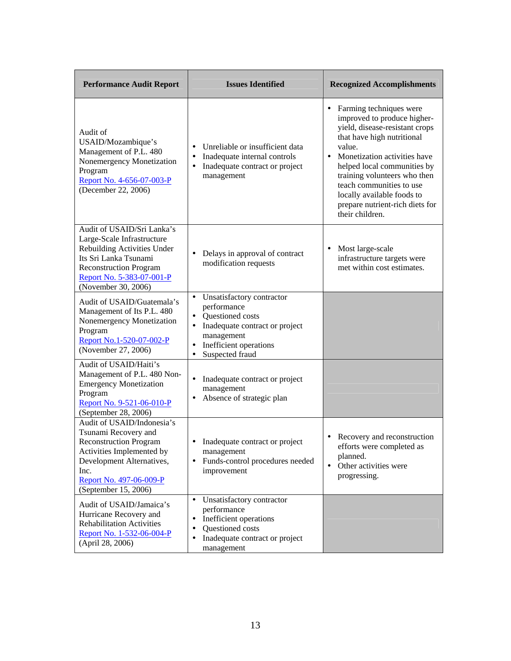| <b>Performance Audit Report</b>                                                                                                                                                                          | <b>Issues Identified</b>                                                                                                                                                                                      | <b>Recognized Accomplishments</b>                                                                                                                                                                                                                                                                                                                                 |
|----------------------------------------------------------------------------------------------------------------------------------------------------------------------------------------------------------|---------------------------------------------------------------------------------------------------------------------------------------------------------------------------------------------------------------|-------------------------------------------------------------------------------------------------------------------------------------------------------------------------------------------------------------------------------------------------------------------------------------------------------------------------------------------------------------------|
| Audit of<br>USAID/Mozambique's<br>Management of P.L. 480<br>Nonemergency Monetization<br>Program<br>Report No. 4-656-07-003-P<br>(December 22, 2006)                                                     | Unreliable or insufficient data<br>$\bullet$<br>Inadequate internal controls<br>$\bullet$<br>Inadequate contract or project<br>$\bullet$<br>management                                                        | Farming techniques were<br>٠<br>improved to produce higher-<br>yield, disease-resistant crops<br>that have high nutritional<br>value.<br>Monetization activities have<br>$\bullet$<br>helped local communities by<br>training volunteers who then<br>teach communities to use<br>locally available foods to<br>prepare nutrient-rich diets for<br>their children. |
| Audit of USAID/Sri Lanka's<br>Large-Scale Infrastructure<br>Rebuilding Activities Under<br>Its Sri Lanka Tsunami<br><b>Reconstruction Program</b><br>Report No. 5-383-07-001-P<br>(November 30, 2006)    | Delays in approval of contract<br>$\bullet$<br>modification requests                                                                                                                                          | Most large-scale<br>٠<br>infrastructure targets were<br>met within cost estimates.                                                                                                                                                                                                                                                                                |
| Audit of USAID/Guatemala's<br>Management of Its P.L. 480<br>Nonemergency Monetization<br>Program<br>Report No.1-520-07-002-P<br>(November 27, 2006)                                                      | Unsatisfactory contractor<br>$\bullet$<br>performance<br>Questioned costs<br>$\bullet$<br>Inadequate contract or project<br>$\bullet$<br>management<br>Inefficient operations<br>$\bullet$<br>Suspected fraud |                                                                                                                                                                                                                                                                                                                                                                   |
| Audit of USAID/Haiti's<br>Management of P.L. 480 Non-<br><b>Emergency Monetization</b><br>Program<br>Report No. 9-521-06-010-P<br>(September 28, 2006)                                                   | Inadequate contract or project<br>$\bullet$<br>management<br>Absence of strategic plan<br>٠                                                                                                                   |                                                                                                                                                                                                                                                                                                                                                                   |
| Audit of USAID/Indonesia's<br>Tsunami Recovery and<br><b>Reconstruction Program</b><br>Activities Implemented by<br>Development Alternatives,<br>Inc.<br>Report No. 497-06-009-P<br>(September 15, 2006) | Inadequate contract or project<br>management<br>Funds-control procedures needed<br>$\bullet$<br>improvement                                                                                                   | Recovery and reconstruction<br>efforts were completed as<br>planned.<br>Other activities were<br>$\bullet$<br>progressing.                                                                                                                                                                                                                                        |
| Audit of USAID/Jamaica's<br>Hurricane Recovery and<br><b>Rehabilitation Activities</b><br>Report No. 1-532-06-004-P<br>(April 28, 2006)                                                                  | Unsatisfactory contractor<br>$\bullet$<br>performance<br>Inefficient operations<br>$\bullet$<br>Questioned costs<br>$\bullet$<br>Inadequate contract or project<br>$\bullet$<br>management                    |                                                                                                                                                                                                                                                                                                                                                                   |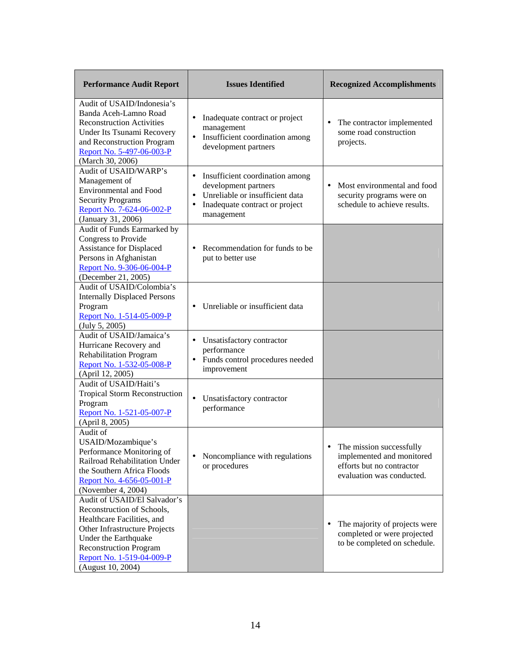| <b>Performance Audit Report</b>                                                                                                                                                                                                      | <b>Issues Identified</b>                                                                                                                                     | <b>Recognized Accomplishments</b>                                                                               |
|--------------------------------------------------------------------------------------------------------------------------------------------------------------------------------------------------------------------------------------|--------------------------------------------------------------------------------------------------------------------------------------------------------------|-----------------------------------------------------------------------------------------------------------------|
| Audit of USAID/Indonesia's<br>Banda Aceh-Lamno Road<br><b>Reconstruction Activities</b><br><b>Under Its Tsunami Recovery</b><br>and Reconstruction Program<br>Report No. 5-497-06-003-P<br>(March 30, 2006)                          | Inadequate contract or project<br>٠<br>management<br>• Insufficient coordination among<br>development partners                                               | $\bullet$<br>The contractor implemented<br>some road construction<br>projects.                                  |
| Audit of USAID/WARP's<br>Management of<br><b>Environmental and Food</b><br><b>Security Programs</b><br>Report No. 7-624-06-002-P<br>(January 31, 2006)                                                                               | Insufficient coordination among<br>٠<br>development partners<br>Unreliable or insufficient data<br>$\bullet$<br>Inadequate contract or project<br>management | $\bullet$<br>Most environmental and food<br>security programs were on<br>schedule to achieve results.           |
| Audit of Funds Earmarked by<br>Congress to Provide<br><b>Assistance for Displaced</b><br>Persons in Afghanistan<br>Report No. 9-306-06-004-P<br>(December 21, 2005)                                                                  | Recommendation for funds to be.<br>$\bullet$<br>put to better use                                                                                            |                                                                                                                 |
| Audit of USAID/Colombia's<br><b>Internally Displaced Persons</b><br>Program<br>Report No. 1-514-05-009-P<br>(July 5, 2005)                                                                                                           | Unreliable or insufficient data<br>٠                                                                                                                         |                                                                                                                 |
| Audit of USAID/Jamaica's<br>Hurricane Recovery and<br><b>Rehabilitation Program</b><br>Report No. 1-532-05-008-P<br>(April 12, 2005)                                                                                                 | Unsatisfactory contractor<br>٠<br>performance<br>• Funds control procedures needed<br>improvement                                                            |                                                                                                                 |
| Audit of USAID/Haiti's<br><b>Tropical Storm Reconstruction</b><br>Program<br>Report No. 1-521-05-007-P<br>(April 8, 2005)                                                                                                            | Unsatisfactory contractor<br>$\bullet$<br>performance                                                                                                        |                                                                                                                 |
| Audit of<br>USAID/Mozambique's<br>Performance Monitoring of<br>Railroad Rehabilitation Under<br>the Southern Africa Floods<br>Report No. 4-656-05-001-P<br>(November 4, 2004)                                                        | Noncompliance with regulations<br>or procedures                                                                                                              | The mission successfully<br>implemented and monitored<br>efforts but no contractor<br>evaluation was conducted. |
| Audit of USAID/El Salvador's<br>Reconstruction of Schools,<br>Healthcare Facilities, and<br>Other Infrastructure Projects<br>Under the Earthquake<br><b>Reconstruction Program</b><br>Report No. 1-519-04-009-P<br>(August 10, 2004) |                                                                                                                                                              | The majority of projects were<br>completed or were projected<br>to be completed on schedule.                    |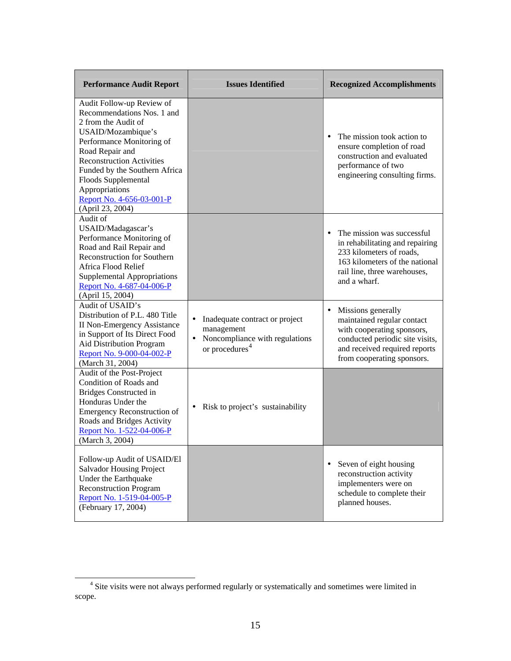| <b>Performance Audit Report</b>                                                                                                                                                                                                                                                                                     | <b>Issues Identified</b>                                                                                                       | <b>Recognized Accomplishments</b>                                                                                                                                                             |
|---------------------------------------------------------------------------------------------------------------------------------------------------------------------------------------------------------------------------------------------------------------------------------------------------------------------|--------------------------------------------------------------------------------------------------------------------------------|-----------------------------------------------------------------------------------------------------------------------------------------------------------------------------------------------|
| Audit Follow-up Review of<br>Recommendations Nos. 1 and<br>2 from the Audit of<br>USAID/Mozambique's<br>Performance Monitoring of<br>Road Repair and<br><b>Reconstruction Activities</b><br>Funded by the Southern Africa<br>Floods Supplemental<br>Appropriations<br>Report No. 4-656-03-001-P<br>(April 23, 2004) |                                                                                                                                | The mission took action to<br>$\bullet$<br>ensure completion of road<br>construction and evaluated<br>performance of two<br>engineering consulting firms.                                     |
| Audit of<br>USAID/Madagascar's<br>Performance Monitoring of<br>Road and Rail Repair and<br><b>Reconstruction for Southern</b><br>Africa Flood Relief<br><b>Supplemental Appropriations</b><br>Report No. 4-687-04-006-P<br>(April 15, 2004)                                                                         |                                                                                                                                | The mission was successful<br>$\bullet$<br>in rehabilitating and repairing<br>233 kilometers of roads,<br>163 kilometers of the national<br>rail line, three warehouses,<br>and a wharf.      |
| Audit of USAID's<br>Distribution of P.L. 480 Title<br><b>II Non-Emergency Assistance</b><br>in Support of Its Direct Food<br>Aid Distribution Program<br>Report No. 9-000-04-002-P<br>(March 31, 2004)                                                                                                              | Inadequate contract or project<br>٠<br>management<br>Noncompliance with regulations<br>$\bullet$<br>or procedures <sup>4</sup> | Missions generally<br>$\bullet$<br>maintained regular contact<br>with cooperating sponsors,<br>conducted periodic site visits,<br>and received required reports<br>from cooperating sponsors. |
| Audit of the Post-Project<br>Condition of Roads and<br><b>Bridges Constructed in</b><br>Honduras Under the<br><b>Emergency Reconstruction of</b><br>Roads and Bridges Activity<br>Report No. 1-522-04-006-P<br>(March 3, 2004)                                                                                      | Risk to project's sustainability<br>٠                                                                                          |                                                                                                                                                                                               |
| Follow-up Audit of USAID/El<br><b>Salvador Housing Project</b><br>Under the Earthquake<br><b>Reconstruction Program</b><br>Report No. 1-519-04-005-P<br>(February 17, 2004)                                                                                                                                         |                                                                                                                                | Seven of eight housing<br>$\bullet$<br>reconstruction activity<br>implementers were on<br>schedule to complete their<br>planned houses.                                                       |

<span id="page-17-0"></span> <sup>4</sup> Site visits were not always performed regularly or systematically and sometimes were limited in scope.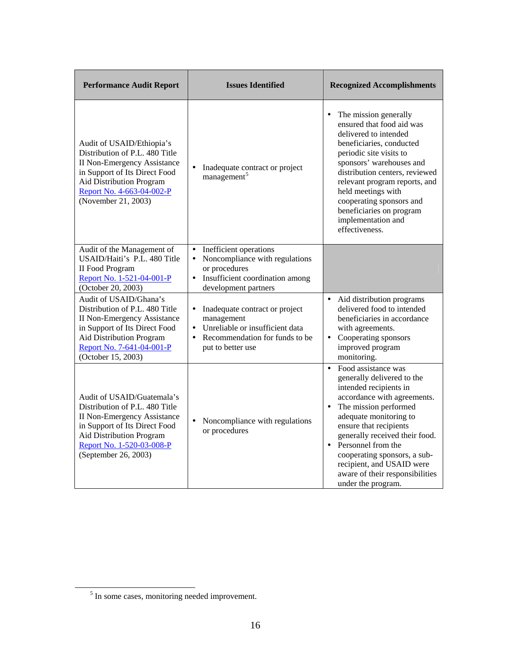| <b>Performance Audit Report</b>                                                                                                                                                                                      | <b>Issues Identified</b>                                                                                                                                                      | <b>Recognized Accomplishments</b>                                                                                                                                                                                                                                                                                                                                                  |
|----------------------------------------------------------------------------------------------------------------------------------------------------------------------------------------------------------------------|-------------------------------------------------------------------------------------------------------------------------------------------------------------------------------|------------------------------------------------------------------------------------------------------------------------------------------------------------------------------------------------------------------------------------------------------------------------------------------------------------------------------------------------------------------------------------|
| Audit of USAID/Ethiopia's<br>Distribution of P.L. 480 Title<br><b>II Non-Emergency Assistance</b><br>in Support of Its Direct Food<br>Aid Distribution Program<br>Report No. 4-663-04-002-P<br>(November 21, 2003)   | Inadequate contract or project<br>$\bullet$<br>management <sup>5</sup>                                                                                                        | The mission generally<br>ensured that food aid was<br>delivered to intended<br>beneficiaries, conducted<br>periodic site visits to<br>sponsors' warehouses and<br>distribution centers, reviewed<br>relevant program reports, and<br>held meetings with<br>cooperating sponsors and<br>beneficiaries on program<br>implementation and<br>effectiveness.                            |
| Audit of the Management of<br>USAID/Haiti's P.L. 480 Title<br><b>II Food Program</b><br>Report No. 1-521-04-001-P<br>(October 20, 2003)                                                                              | Inefficient operations<br>$\bullet$<br>Noncompliance with regulations<br>$\bullet$<br>or procedures<br>Insufficient coordination among<br>$\bullet$<br>development partners   |                                                                                                                                                                                                                                                                                                                                                                                    |
| Audit of USAID/Ghana's<br>Distribution of P.L. 480 Title<br><b>II Non-Emergency Assistance</b><br>in Support of Its Direct Food<br>Aid Distribution Program<br>Report No. 7-641-04-001-P<br>(October 15, 2003)       | Inadequate contract or project<br>$\bullet$<br>management<br>Unreliable or insufficient data<br>$\bullet$<br>Recommendation for funds to be<br>$\bullet$<br>put to better use | Aid distribution programs<br>delivered food to intended<br>beneficiaries in accordance<br>with agreements.<br>Cooperating sponsors<br>improved program<br>monitoring.                                                                                                                                                                                                              |
| Audit of USAID/Guatemala's<br>Distribution of P.L. 480 Title<br><b>II Non-Emergency Assistance</b><br>in Support of Its Direct Food<br>Aid Distribution Program<br>Report No. 1-520-03-008-P<br>(September 26, 2003) | Noncompliance with regulations<br>$\bullet$<br>or procedures                                                                                                                  | Food assistance was<br>$\bullet$<br>generally delivered to the<br>intended recipients in<br>accordance with agreements.<br>The mission performed<br>adequate monitoring to<br>ensure that recipients<br>generally received their food.<br>Personnel from the<br>cooperating sponsors, a sub-<br>recipient, and USAID were<br>aware of their responsibilities<br>under the program. |

<span id="page-18-0"></span><sup>&</sup>lt;sup>5</sup> In some cases, monitoring needed improvement.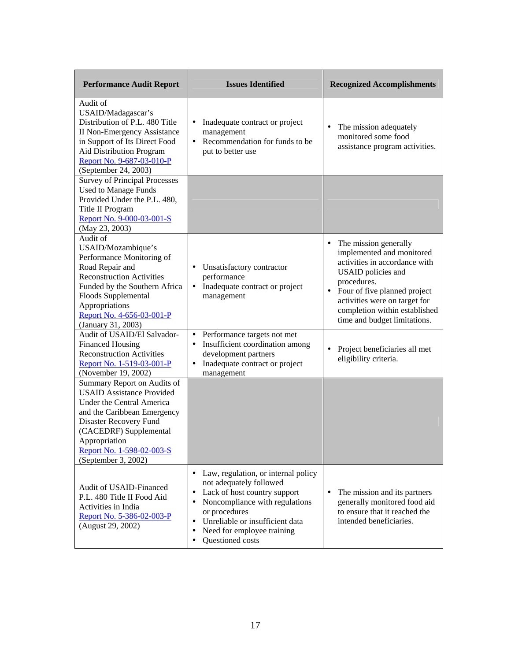| <b>Performance Audit Report</b>                                                                                                                                                                                                                      | <b>Issues Identified</b>                                                                                                                                                                                                                                                     | <b>Recognized Accomplishments</b>                                                                                                                                                                                                                                                           |
|------------------------------------------------------------------------------------------------------------------------------------------------------------------------------------------------------------------------------------------------------|------------------------------------------------------------------------------------------------------------------------------------------------------------------------------------------------------------------------------------------------------------------------------|---------------------------------------------------------------------------------------------------------------------------------------------------------------------------------------------------------------------------------------------------------------------------------------------|
| Audit of<br>USAID/Madagascar's<br>Distribution of P.L. 480 Title<br><b>II Non-Emergency Assistance</b><br>in Support of Its Direct Food<br>Aid Distribution Program<br>Report No. 9-687-03-010-P<br>(September 24, 2003)                             | Inadequate contract or project<br>٠<br>management<br>Recommendation for funds to be<br>$\bullet$<br>put to better use                                                                                                                                                        | $\bullet$<br>The mission adequately<br>monitored some food<br>assistance program activities.                                                                                                                                                                                                |
| <b>Survey of Principal Processes</b><br><b>Used to Manage Funds</b><br>Provided Under the P.L. 480,<br>Title II Program<br>Report No. 9-000-03-001-S<br>(May 23, 2003)                                                                               |                                                                                                                                                                                                                                                                              |                                                                                                                                                                                                                                                                                             |
| Audit of<br>USAID/Mozambique's<br>Performance Monitoring of<br>Road Repair and<br><b>Reconstruction Activities</b><br>Funded by the Southern Africa<br>Floods Supplemental<br>Appropriations<br>Report No. 4-656-03-001-P<br>(January 31, 2003)      | Unsatisfactory contractor<br>$\bullet$<br>performance<br>Inadequate contract or project<br>٠<br>management                                                                                                                                                                   | The mission generally<br>$\bullet$<br>implemented and monitored<br>activities in accordance with<br><b>USAID</b> policies and<br>procedures.<br>Four of five planned project<br>$\bullet$<br>activities were on target for<br>completion within established<br>time and budget limitations. |
| Audit of USAID/El Salvador-<br><b>Financed Housing</b><br><b>Reconstruction Activities</b><br>Report No. 1-519-03-001-P<br>(November 19, 2002)                                                                                                       | Performance targets not met<br>$\bullet$<br>Insufficient coordination among<br>٠<br>development partners<br>Inadequate contract or project<br>٠<br>management                                                                                                                | $\bullet$<br>Project beneficiaries all met<br>eligibility criteria.                                                                                                                                                                                                                         |
| Summary Report on Audits of<br><b>USAID Assistance Provided</b><br>Under the Central America<br>and the Caribbean Emergency<br>Disaster Recovery Fund<br>(CACEDRF) Supplemental<br>Appropriation<br>Report No. 1-598-02-003-S<br>(September 3, 2002) |                                                                                                                                                                                                                                                                              |                                                                                                                                                                                                                                                                                             |
| Audit of USAID-Financed<br>P.L. 480 Title II Food Aid<br>Activities in India<br>Report No. 5-386-02-003-P<br>(August 29, 2002)                                                                                                                       | Law, regulation, or internal policy<br>٠<br>not adequately followed<br>Lack of host country support<br>٠<br>Noncompliance with regulations<br>٠<br>or procedures<br>Unreliable or insufficient data<br>$\bullet$<br>Need for employee training<br>٠<br>Questioned costs<br>٠ | The mission and its partners<br>$\bullet$<br>generally monitored food aid<br>to ensure that it reached the<br>intended beneficiaries.                                                                                                                                                       |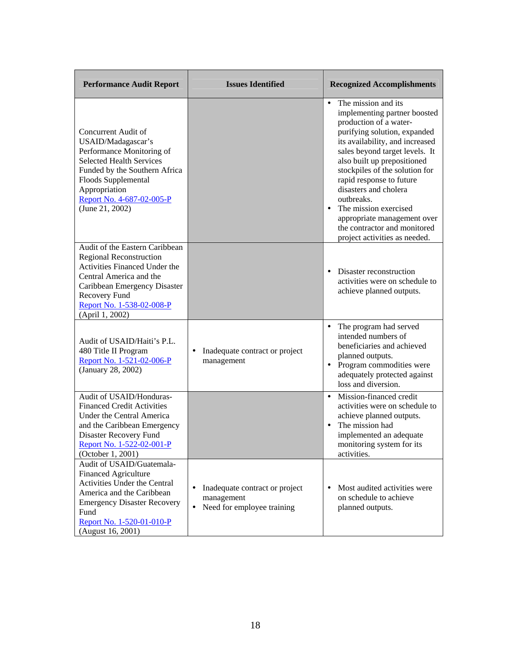| <b>Performance Audit Report</b>                                                                                                                                                                                                    | <b>Issues Identified</b>                                                                     | <b>Recognized Accomplishments</b>                                                                                                                                                                                                                                                                                                                                                                                                                                         |
|------------------------------------------------------------------------------------------------------------------------------------------------------------------------------------------------------------------------------------|----------------------------------------------------------------------------------------------|---------------------------------------------------------------------------------------------------------------------------------------------------------------------------------------------------------------------------------------------------------------------------------------------------------------------------------------------------------------------------------------------------------------------------------------------------------------------------|
| Concurrent Audit of<br>USAID/Madagascar's<br>Performance Monitoring of<br><b>Selected Health Services</b><br>Funded by the Southern Africa<br>Floods Supplemental<br>Appropriation<br>Report No. 4-687-02-005-P<br>(June 21, 2002) |                                                                                              | The mission and its<br>$\bullet$<br>implementing partner boosted<br>production of a water-<br>purifying solution, expanded<br>its availability, and increased<br>sales beyond target levels. It<br>also built up prepositioned<br>stockpiles of the solution for<br>rapid response to future<br>disasters and cholera<br>outbreaks.<br>The mission exercised<br>$\bullet$<br>appropriate management over<br>the contractor and monitored<br>project activities as needed. |
| Audit of the Eastern Caribbean<br><b>Regional Reconstruction</b><br>Activities Financed Under the<br>Central America and the<br>Caribbean Emergency Disaster<br>Recovery Fund<br>Report No. 1-538-02-008-P<br>(April 1, 2002)      |                                                                                              | Disaster reconstruction<br>$\bullet$<br>activities were on schedule to<br>achieve planned outputs.                                                                                                                                                                                                                                                                                                                                                                        |
| Audit of USAID/Haiti's P.L.<br>480 Title II Program<br>Report No. 1-521-02-006-P<br>(January 28, 2002)                                                                                                                             | Inadequate contract or project<br>٠<br>management                                            | The program had served<br>$\bullet$<br>intended numbers of<br>beneficiaries and achieved<br>planned outputs.<br>Program commodities were<br>$\bullet$<br>adequately protected against<br>loss and diversion.                                                                                                                                                                                                                                                              |
| Audit of USAID/Honduras-<br><b>Financed Credit Activities</b><br>Under the Central America<br>and the Caribbean Emergency<br>Disaster Recovery Fund<br>Report No. 1-522-02-001-P<br>(October 1, 2001)                              |                                                                                              | Mission-financed credit<br>$\bullet$<br>activities were on schedule to<br>achieve planned outputs.<br>The mission had<br>implemented an adequate<br>monitoring system for its<br>activities.                                                                                                                                                                                                                                                                              |
| Audit of USAID/Guatemala-<br><b>Financed Agriculture</b><br>Activities Under the Central<br>America and the Caribbean<br><b>Emergency Disaster Recovery</b><br>Fund<br>Report No. 1-520-01-010-P<br>(August 16, 2001)              | Inadequate contract or project<br>٠<br>management<br>Need for employee training<br>$\bullet$ | Most audited activities were<br>$\bullet$<br>on schedule to achieve<br>planned outputs.                                                                                                                                                                                                                                                                                                                                                                                   |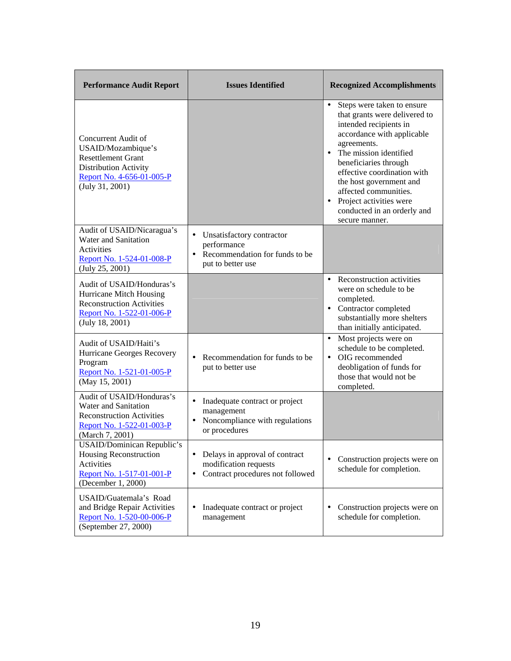| <b>Performance Audit Report</b>                                                                                                                 | <b>Issues Identified</b>                                                                                              | <b>Recognized Accomplishments</b>                                                                                                                                                                                                                                                                                                                                   |
|-------------------------------------------------------------------------------------------------------------------------------------------------|-----------------------------------------------------------------------------------------------------------------------|---------------------------------------------------------------------------------------------------------------------------------------------------------------------------------------------------------------------------------------------------------------------------------------------------------------------------------------------------------------------|
| Concurrent Audit of<br>USAID/Mozambique's<br><b>Resettlement Grant</b><br>Distribution Activity<br>Report No. 4-656-01-005-P<br>(July 31, 2001) |                                                                                                                       | Steps were taken to ensure<br>that grants were delivered to<br>intended recipients in<br>accordance with applicable<br>agreements.<br>• The mission identified<br>beneficiaries through<br>effective coordination with<br>the host government and<br>affected communities.<br>Project activities were<br>$\bullet$<br>conducted in an orderly and<br>secure manner. |
| Audit of USAID/Nicaragua's<br><b>Water and Sanitation</b><br>Activities<br>Report No. 1-524-01-008-P<br>(July 25, 2001)                         | Unsatisfactory contractor<br>٠<br>performance<br>• Recommendation for funds to be<br>put to better use                |                                                                                                                                                                                                                                                                                                                                                                     |
| Audit of USAID/Honduras's<br>Hurricane Mitch Housing<br><b>Reconstruction Activities</b><br>Report No. 1-522-01-006-P<br>(July 18, 2001)        |                                                                                                                       | • Reconstruction activities<br>were on schedule to be<br>completed.<br>• Contractor completed<br>substantially more shelters<br>than initially anticipated.                                                                                                                                                                                                         |
| Audit of USAID/Haiti's<br>Hurricane Georges Recovery<br>Program<br>Report No. 1-521-01-005-P<br>(May 15, 2001)                                  | Recommendation for funds to be.<br>$\bullet$<br>put to better use                                                     | Most projects were on<br>$\bullet$<br>schedule to be completed.<br>OIG recommended<br>$\bullet$<br>deobligation of funds for<br>those that would not be<br>completed.                                                                                                                                                                                               |
| Audit of USAID/Honduras's<br><b>Water and Sanitation</b><br><b>Reconstruction Activities</b><br>Report No. 1-522-01-003-P<br>(March 7, 2001)    | Inadequate contract or project<br>٠<br>management<br>Noncompliance with regulations<br>or procedures                  |                                                                                                                                                                                                                                                                                                                                                                     |
| USAID/Dominican Republic's<br>Housing Reconstruction<br>Activities<br>Report No. 1-517-01-001-P<br>(December 1, 2000)                           | Delays in approval of contract<br>$\bullet$<br>modification requests<br>Contract procedures not followed<br>$\bullet$ | Construction projects were on<br>$\bullet$<br>schedule for completion.                                                                                                                                                                                                                                                                                              |
| USAID/Guatemala's Road<br>and Bridge Repair Activities<br>Report No. 1-520-00-006-P<br>(September 27, 2000)                                     | Inadequate contract or project<br>$\bullet$<br>management                                                             | Construction projects were on<br>$\bullet$<br>schedule for completion.                                                                                                                                                                                                                                                                                              |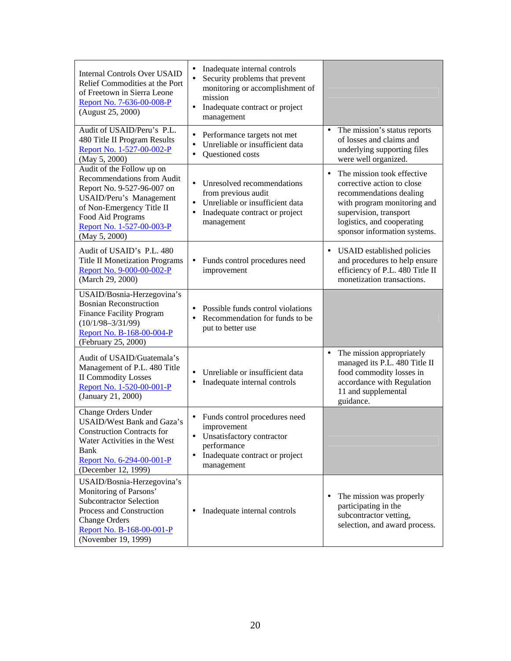| <b>Internal Controls Over USAID</b><br>Relief Commodities at the Port<br>of Freetown in Sierra Leone<br>Report No. 7-636-00-008-P<br>(August 25, 2000)                                                                  | Inadequate internal controls<br>$\bullet$<br>$\bullet$<br>Security problems that prevent<br>monitoring or accomplishment of<br>mission<br>Inadequate contract or project<br>$\bullet$<br>management |                                                                                                                                                                                                                         |
|-------------------------------------------------------------------------------------------------------------------------------------------------------------------------------------------------------------------------|-----------------------------------------------------------------------------------------------------------------------------------------------------------------------------------------------------|-------------------------------------------------------------------------------------------------------------------------------------------------------------------------------------------------------------------------|
| Audit of USAID/Peru's P.L.<br>480 Title II Program Results<br>Report No. 1-527-00-002-P<br>(May 5, 2000)                                                                                                                | Performance targets not met<br>٠<br>Unreliable or insufficient data<br>٠<br>Questioned costs<br>٠                                                                                                   | The mission's status reports<br>of losses and claims and<br>underlying supporting files<br>were well organized.                                                                                                         |
| Audit of the Follow up on<br><b>Recommendations from Audit</b><br>Report No. 9-527-96-007 on<br>USAID/Peru's Management<br>of Non-Emergency Title II<br>Food Aid Programs<br>Report No. 1-527-00-003-P<br>(May 5, 2000) | Unresolved recommendations<br>$\bullet$<br>from previous audit<br>Unreliable or insufficient data<br>$\bullet$<br>Inadequate contract or project<br>٠<br>management                                 | The mission took effective<br>$\bullet$<br>corrective action to close<br>recommendations dealing<br>with program monitoring and<br>supervision, transport<br>logistics, and cooperating<br>sponsor information systems. |
| Audit of USAID's P.L. 480<br><b>Title II Monetization Programs</b><br>Report No. 9-000-00-002-P<br>(March 29, 2000)                                                                                                     | Funds control procedures need<br>٠<br>improvement                                                                                                                                                   | <b>USAID</b> established policies<br>and procedures to help ensure<br>efficiency of P.L. 480 Title II<br>monetization transactions.                                                                                     |
| USAID/Bosnia-Herzegovina's<br><b>Bosnian Reconstruction</b><br><b>Finance Facility Program</b><br>$(10/1/98 - 3/31/99)$<br>Report No. B-168-00-004-P<br>(February 25, 2000)                                             | Possible funds control violations<br>٠<br>Recommendation for funds to be<br>$\bullet$<br>put to better use                                                                                          |                                                                                                                                                                                                                         |
| Audit of USAID/Guatemala's<br>Management of P.L. 480 Title<br><b>II Commodity Losses</b><br>Report No. 1-520-00-001-P<br>(January 21, 2000)                                                                             | Unreliable or insufficient data<br>$\bullet$<br>Inadequate internal controls<br>٠                                                                                                                   | The mission appropriately<br>managed its P.L. 480 Title II<br>food commodity losses in<br>accordance with Regulation<br>11 and supplemental<br>guidance.                                                                |
| Change Orders Under<br>USAID/West Bank and Gaza's<br><b>Construction Contracts for</b><br>Water Activities in the West<br>Bank<br>Report No. 6-294-00-001-P<br>(December 12, 1999)                                      | Funds control procedures need<br>٠<br>improvement<br>Unsatisfactory contractor<br>performance<br>Inadequate contract or project<br>$\bullet$<br>management                                          |                                                                                                                                                                                                                         |
| USAID/Bosnia-Herzegovina's<br>Monitoring of Parsons'<br><b>Subcontractor Selection</b><br>Process and Construction<br><b>Change Orders</b><br>Report No. B-168-00-001-P<br>(November 19, 1999)                          | Inadequate internal controls<br>$\bullet$                                                                                                                                                           | The mission was properly<br>$\bullet$<br>participating in the<br>subcontractor vetting,<br>selection, and award process.                                                                                                |